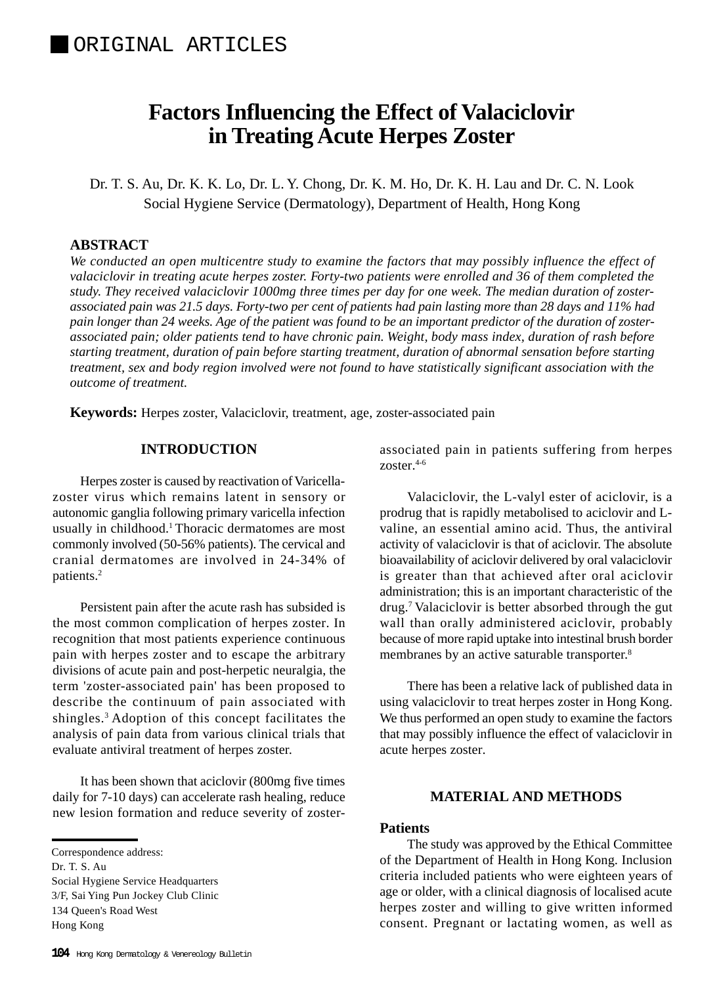# **Factors Influencing the Effect of Valaciclovir in Treating Acute Herpes Zoster**

Dr. T. S. Au, Dr. K. K. Lo, Dr. L. Y. Chong, Dr. K. M. Ho, Dr. K. H. Lau and Dr. C. N. Look Social Hygiene Service (Dermatology), Department of Health, Hong Kong

# **ABSTRACT**

*We conducted an open multicentre study to examine the factors that may possibly influence the effect of valaciclovir in treating acute herpes zoster. Forty-two patients were enrolled and 36 of them completed the study. They received valaciclovir 1000mg three times per day for one week. The median duration of zosterassociated pain was 21.5 days. Forty-two per cent of patients had pain lasting more than 28 days and 11% had pain longer than 24 weeks. Age of the patient was found to be an important predictor of the duration of zosterassociated pain; older patients tend to have chronic pain. Weight, body mass index, duration of rash before starting treatment, duration of pain before starting treatment, duration of abnormal sensation before starting treatment, sex and body region involved were not found to have statistically significant association with the outcome of treatment.*

**Keywords:** Herpes zoster, Valaciclovir, treatment, age, zoster-associated pain

# **INTRODUCTION**

Herpes zoster is caused by reactivation of Varicellazoster virus which remains latent in sensory or autonomic ganglia following primary varicella infection usually in childhood.<sup>1</sup> Thoracic dermatomes are most commonly involved (50-56% patients). The cervical and cranial dermatomes are involved in 24-34% of patients.2

Persistent pain after the acute rash has subsided is the most common complication of herpes zoster. In recognition that most patients experience continuous pain with herpes zoster and to escape the arbitrary divisions of acute pain and post-herpetic neuralgia, the term 'zoster-associated pain' has been proposed to describe the continuum of pain associated with shingles.3 Adoption of this concept facilitates the analysis of pain data from various clinical trials that evaluate antiviral treatment of herpes zoster.

It has been shown that aciclovir (800mg five times daily for 7-10 days) can accelerate rash healing, reduce new lesion formation and reduce severity of zoster-

Dr. T. S. Au

Social Hygiene Service Headquarters 3/F, Sai Ying Pun Jockey Club Clinic 134 Queen's Road West

Hong Kong

associated pain in patients suffering from herpes zoster. $4-6$ 

Valaciclovir, the L-valyl ester of aciclovir, is a prodrug that is rapidly metabolised to aciclovir and Lvaline, an essential amino acid. Thus, the antiviral activity of valaciclovir is that of aciclovir. The absolute bioavailability of aciclovir delivered by oral valaciclovir is greater than that achieved after oral aciclovir administration; this is an important characteristic of the drug.7 Valaciclovir is better absorbed through the gut wall than orally administered aciclovir, probably because of more rapid uptake into intestinal brush border membranes by an active saturable transporter.<sup>8</sup>

There has been a relative lack of published data in using valaciclovir to treat herpes zoster in Hong Kong. We thus performed an open study to examine the factors that may possibly influence the effect of valaciclovir in acute herpes zoster.

# **MATERIAL AND METHODS**

# **Patients**

The study was approved by the Ethical Committee of the Department of Health in Hong Kong. Inclusion criteria included patients who were eighteen years of age or older, with a clinical diagnosis of localised acute herpes zoster and willing to give written informed consent. Pregnant or lactating women, as well as

Correspondence address: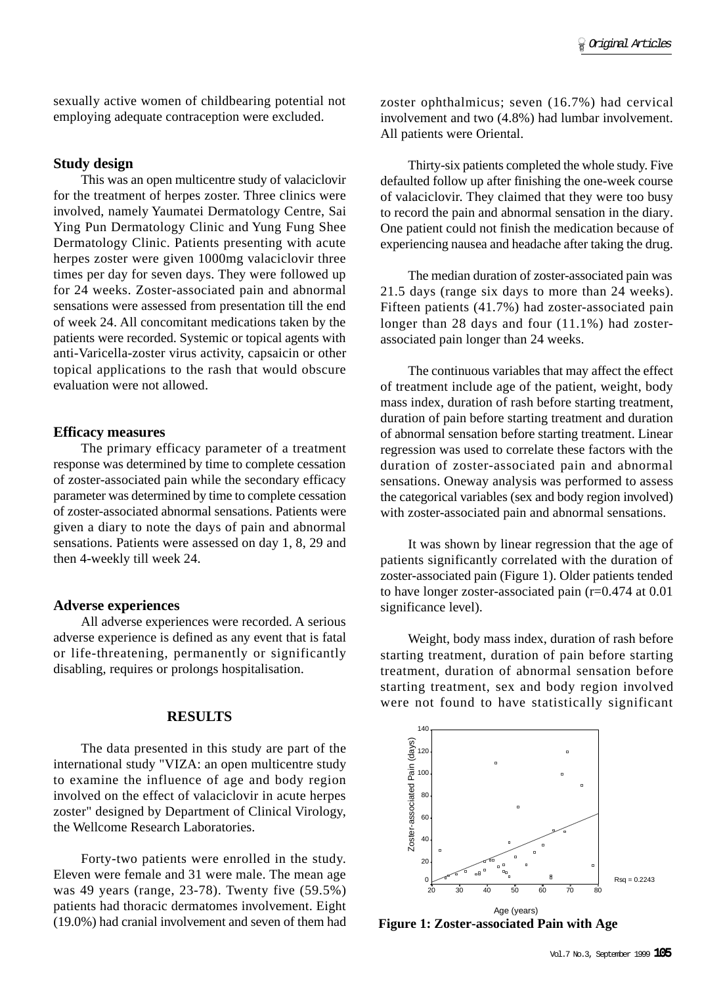sexually active women of childbearing potential not employing adequate contraception were excluded.

#### **Study design**

This was an open multicentre study of valaciclovir for the treatment of herpes zoster. Three clinics were involved, namely Yaumatei Dermatology Centre, Sai Ying Pun Dermatology Clinic and Yung Fung Shee Dermatology Clinic. Patients presenting with acute herpes zoster were given 1000mg valaciclovir three times per day for seven days. They were followed up for 24 weeks. Zoster-associated pain and abnormal sensations were assessed from presentation till the end of week 24. All concomitant medications taken by the patients were recorded. Systemic or topical agents with anti-Varicella-zoster virus activity, capsaicin or other topical applications to the rash that would obscure evaluation were not allowed.

## **Efficacy measures**

The primary efficacy parameter of a treatment response was determined by time to complete cessation of zoster-associated pain while the secondary efficacy parameter was determined by time to complete cessation of zoster-associated abnormal sensations. Patients were given a diary to note the days of pain and abnormal sensations. Patients were assessed on day 1, 8, 29 and then 4-weekly till week 24.

#### **Adverse experiences**

All adverse experiences were recorded. A serious adverse experience is defined as any event that is fatal or life-threatening, permanently or significantly disabling, requires or prolongs hospitalisation.

## **RESULTS**

The data presented in this study are part of the international study "VIZA: an open multicentre study to examine the influence of age and body region involved on the effect of valaciclovir in acute herpes zoster" designed by Department of Clinical Virology, the Wellcome Research Laboratories.

Forty-two patients were enrolled in the study. Eleven were female and 31 were male. The mean age was 49 years (range, 23-78). Twenty five (59.5%) patients had thoracic dermatomes involvement. Eight (19.0%) had cranial involvement and seven of them had

zoster ophthalmicus; seven (16.7%) had cervical involvement and two (4.8%) had lumbar involvement. All patients were Oriental.

Thirty-six patients completed the whole study. Five defaulted follow up after finishing the one-week course of valaciclovir. They claimed that they were too busy to record the pain and abnormal sensation in the diary. One patient could not finish the medication because of experiencing nausea and headache after taking the drug.

The median duration of zoster-associated pain was 21.5 days (range six days to more than 24 weeks). Fifteen patients (41.7%) had zoster-associated pain longer than 28 days and four (11.1%) had zosterassociated pain longer than 24 weeks.

The continuous variables that may affect the effect of treatment include age of the patient, weight, body mass index, duration of rash before starting treatment, duration of pain before starting treatment and duration of abnormal sensation before starting treatment. Linear regression was used to correlate these factors with the duration of zoster-associated pain and abnormal sensations. Oneway analysis was performed to assess the categorical variables (sex and body region involved) with zoster-associated pain and abnormal sensations.

It was shown by linear regression that the age of patients significantly correlated with the duration of zoster-associated pain (Figure 1). Older patients tended to have longer zoster-associated pain (r=0.474 at 0.01 significance level).

Weight, body mass index, duration of rash before starting treatment, duration of pain before starting treatment, duration of abnormal sensation before starting treatment, sex and body region involved were not found to have statistically significant



**Figure 1: Zoster-associated Pain with Age**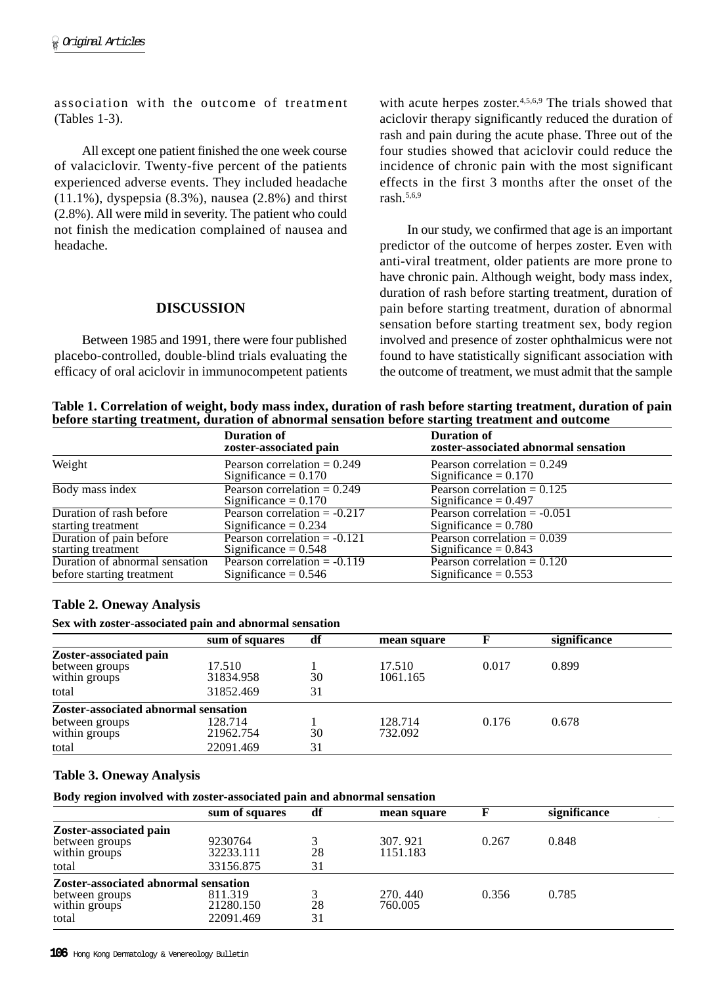association with the outcome of treatment (Tables 1-3).

All except one patient finished the one week course of valaciclovir. Twenty-five percent of the patients experienced adverse events. They included headache (11.1%), dyspepsia (8.3%), nausea (2.8%) and thirst (2.8%). All were mild in severity. The patient who could not finish the medication complained of nausea and headache.

## **DISCUSSION**

Between 1985 and 1991, there were four published placebo-controlled, double-blind trials evaluating the efficacy of oral aciclovir in immunocompetent patients with acute herpes zoster.<sup>4,5,6,9</sup> The trials showed that aciclovir therapy significantly reduced the duration of rash and pain during the acute phase. Three out of the four studies showed that aciclovir could reduce the incidence of chronic pain with the most significant effects in the first 3 months after the onset of the rash.5,6,9

In our study, we confirmed that age is an important predictor of the outcome of herpes zoster. Even with anti-viral treatment, older patients are more prone to have chronic pain. Although weight, body mass index, duration of rash before starting treatment, duration of pain before starting treatment, duration of abnormal sensation before starting treatment sex, body region involved and presence of zoster ophthalmicus were not found to have statistically significant association with the outcome of treatment, we must admit that the sample

**Table 1. Correlation of weight, body mass index, duration of rash before starting treatment, duration of pain before starting treatment, duration of abnormal sensation before starting treatment and outcome**

|                                               | <b>Duration of</b><br>zoster-associated pain             | <b>Duration of</b><br>zoster-associated abnormal sensation |
|-----------------------------------------------|----------------------------------------------------------|------------------------------------------------------------|
| Weight                                        | Pearson correlation $= 0.249$<br>Significance = $0.170$  | Pearson correlation $= 0.249$<br>Significance $= 0.170$    |
| Body mass index                               | Pearson correlation $= 0.249$<br>Significance = $0.170$  | Pearson correlation = $0.125$<br>Significance = $0.497$    |
| Duration of rash before                       | Pearson correlation $= -0.217$                           | Pearson correlation $= -0.051$                             |
| starting treatment                            | Significance $= 0.234$                                   | Significance = $0.780$                                     |
| Duration of pain before<br>starting treatment | Pearson correlation $= -0.121$<br>Significance $= 0.548$ | Pearson correlation $= 0.039$<br>Significance = $0.843$    |
| Duration of abnormal sensation                | Pearson correlation $= -0.119$                           | Pearson correlation $= 0.120$                              |
| before starting treatment                     | Significance = $0.546$                                   | Significance = $0.553$                                     |

# **Table 2. Oneway Analysis**

**Sex with zoster-associated pain and abnormal sensation**

|                                             | sum of squares | df | mean square |       | significance |  |
|---------------------------------------------|----------------|----|-------------|-------|--------------|--|
| Zoster-associated pain                      |                |    |             |       |              |  |
| between groups                              | 17.510         |    | 17.510      | 0.017 | 0.899        |  |
| within groups                               | 31834.958      | 30 | 1061.165    |       |              |  |
| total                                       | 31852.469      | 31 |             |       |              |  |
| <b>Zoster-associated abnormal sensation</b> |                |    |             |       |              |  |
| between groups                              | 128.714        |    | 128.714     | 0.176 | 0.678        |  |
| within groups                               | 21962.754      | 30 | 732.092     |       |              |  |
| total                                       | 22091.469      | 31 |             |       |              |  |

# **Table 3. Oneway Analysis**

**Body region involved with zoster-associated pain and abnormal sensation**

|                                             | sum of squares | df | mean square |       | significance |  |
|---------------------------------------------|----------------|----|-------------|-------|--------------|--|
| Zoster-associated pain                      |                |    |             |       |              |  |
| between groups                              | 9230764        |    | 307.921     | 0.267 | 0.848        |  |
| within groups                               | 32233.111      | 28 | 1151.183    |       |              |  |
| total                                       | 33156.875      | 31 |             |       |              |  |
| <b>Zoster-associated abnormal sensation</b> |                |    |             |       |              |  |
| between groups                              | 811.319        |    | 270, 440    | 0.356 | 0.785        |  |
| within groups                               | 21280.150      | 28 | 760.005     |       |              |  |
| total                                       | 22091.469      | 31 |             |       |              |  |